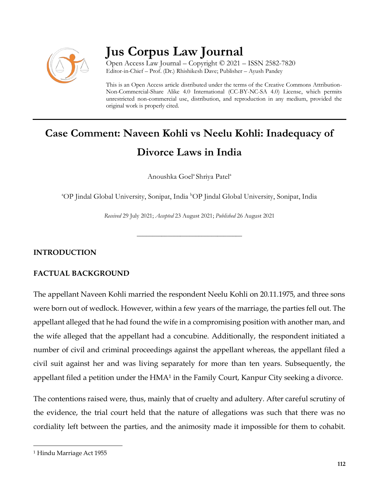

# **Jus Corpus Law Journal**

Open Access Law Journal – Copyright © 2021 – ISSN 2582-7820 Editor-in-Chief – Prof. (Dr.) Rhishikesh Dave; Publisher – Ayush Pandey

This is an Open Access article distributed under the terms of the Creative Commons Attribution-Non-Commercial-Share Alike 4.0 International (CC-BY-NC-SA 4.0) License, which permits unrestricted non-commercial use, distribution, and reproduction in any medium, provided the original work is properly cited.

# **Case Comment: Naveen Kohli vs Neelu Kohli: Inadequacy of Divorce Laws in India**

Anoushka Goel<sup>a</sup> Shriya Patel<sup>a</sup>

<sup>a</sup>OP Jindal Global University, Sonipat, India <sup>b</sup>OP Jindal Global University, Sonipat, India

*Received* 29 July 2021; *Accepted* 23 August 2021; *Published* 26 August 2021

\_\_\_\_\_\_\_\_\_\_\_\_\_\_\_\_\_\_\_\_\_\_\_\_\_\_\_\_\_\_\_\_\_\_

### **INTRODUCTION**

## **FACTUAL BACKGROUND**

The appellant Naveen Kohli married the respondent Neelu Kohli on 20.11.1975, and three sons were born out of wedlock. However, within a few years of the marriage, the parties fell out. The appellant alleged that he had found the wife in a compromising position with another man, and the wife alleged that the appellant had a concubine. Additionally, the respondent initiated a number of civil and criminal proceedings against the appellant whereas, the appellant filed a civil suit against her and was living separately for more than ten years. Subsequently, the appellant filed a petition under the  $HMA<sup>1</sup>$  in the Family Court, Kanpur City seeking a divorce.

The contentions raised were, thus, mainly that of cruelty and adultery. After careful scrutiny of the evidence, the trial court held that the nature of allegations was such that there was no cordiality left between the parties, and the animosity made it impossible for them to cohabit.

 $\overline{\phantom{a}}$ 

<sup>1</sup> Hindu Marriage Act 1955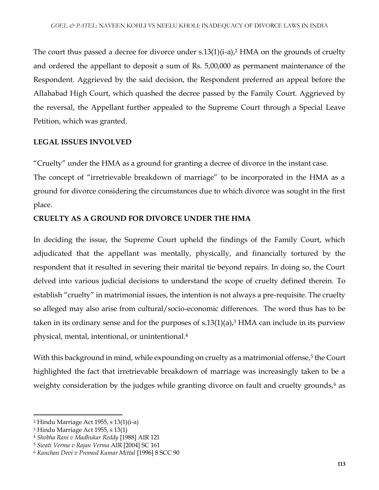The court thus passed a decree for divorce under  $s.13(1)(i-a)$ , HMA on the grounds of cruelty and ordered the appellant to deposit a sum of Rs. 5,00,000 as permanent maintenance of the Respondent. Aggrieved by the said decision, the Respondent preferred an appeal before the Allahabad High Court, which quashed the decree passed by the Family Court. Aggrieved by the reversal, the Appellant further appealed to the Supreme Court through a Special Leave Petition, which was granted.

#### **LEGAL ISSUES INVOLVED**

"Cruelty" under the HMA as a ground for granting a decree of divorce in the instant case.

The concept of "irretrievable breakdown of marriage" to be incorporated in the HMA as a ground for divorce considering the circumstances due to which divorce was sought in the first place.

### **CRUELTY AS A GROUND FOR DIVORCE UNDER THE HMA**

In deciding the issue, the Supreme Court upheld the findings of the Family Court, which adjudicated that the appellant was mentally, physically, and financially tortured by the respondent that it resulted in severing their marital tie beyond repairs. In doing so, the Court delved into various judicial decisions to understand the scope of cruelty defined therein. To establish "cruelty" in matrimonial issues, the intention is not always a pre-requisite. The cruelty so alleged may also arise from cultural/socio-economic differences. The word thus has to be taken in its ordinary sense and for the purposes of  $s.13(1)(a)$ ,<sup>3</sup> HMA can include in its purview physical, mental, intentional, or unintentional. 4

With this background in mind, while expounding on cruelty as a matrimonial offense,<sup>5</sup> the Court highlighted the fact that irretrievable breakdown of marriage was increasingly taken to be a weighty consideration by the judges while granting divorce on fault and cruelty grounds,<sup>6</sup> as

 $\overline{a}$ 

<sup>2</sup> Hindu Marriage Act 1955, s 13(1)(i-a)

<sup>3</sup> Hindu Marriage Act 1955, s 13(1)

<sup>4</sup> *Shobha Rani v Madhukar Reddy* [1988] AIR 121

<sup>5</sup> *Swati Verma v Rajan Verma* AIR [2004] SC 161

<sup>6</sup> *Kanchan Devi v Promod Kumar Mittal* [1996] 8 SCC 90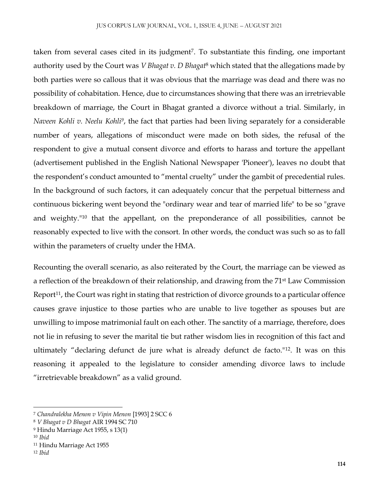taken from several cases cited in its judgment<sup>7</sup>. To substantiate this finding, one important authority used by the Court was *V Bhagat v. D Bhagat*<sup>8</sup> which stated that the allegations made by both parties were so callous that it was obvious that the marriage was dead and there was no possibility of cohabitation. Hence, due to circumstances showing that there was an irretrievable breakdown of marriage, the Court in Bhagat granted a divorce without a trial. Similarly, in *Naveen Kohli v. Neelu Kohli<sup>9</sup>,* the fact that parties had been living separately for a considerable number of years, allegations of misconduct were made on both sides, the refusal of the respondent to give a mutual consent divorce and efforts to harass and torture the appellant (advertisement published in the English National Newspaper 'Pioneer'), leaves no doubt that the respondent's conduct amounted to "mental cruelty" under the gambit of precedential rules. In the background of such factors, it can adequately concur that the perpetual bitterness and continuous bickering went beyond the "ordinary wear and tear of married life" to be so "grave and weighty."<sup>10</sup> that the appellant, on the preponderance of all possibilities, cannot be reasonably expected to live with the consort. In other words, the conduct was such so as to fall within the parameters of cruelty under the HMA.

Recounting the overall scenario, as also reiterated by the Court, the marriage can be viewed as a reflection of the breakdown of their relationship, and drawing from the 71st Law Commission Report<sup>11</sup>, the Court was right in stating that restriction of divorce grounds to a particular offence causes grave injustice to those parties who are unable to live together as spouses but are unwilling to impose matrimonial fault on each other. The sanctity of a marriage, therefore, does not lie in refusing to sever the marital tie but rather wisdom lies in recognition of this fact and ultimately "declaring defunct de jure what is already defunct de facto."12. It was on this reasoning it appealed to the legislature to consider amending divorce laws to include "irretrievable breakdown" as a valid ground.

 $\overline{a}$ 

<sup>7</sup> *Chandralekha Menon v Vipin Menon* [1993] 2 SCC 6

<sup>8</sup> *V Bhagat v D Bhagat* AIR 1994 SC 710

<sup>9</sup> Hindu Marriage Act 1955, s 13(1)

<sup>10</sup> *Ibid*

<sup>11</sup> Hindu Marriage Act 1955

<sup>12</sup> *Ibid*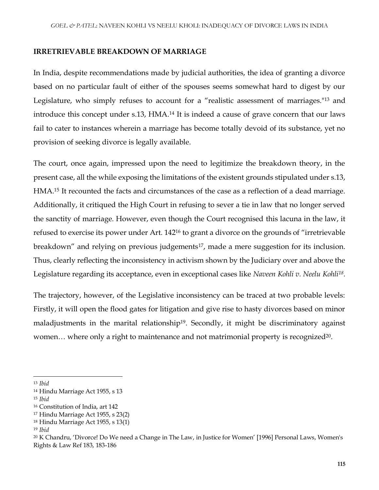#### **IRRETRIEVABLE BREAKDOWN OF MARRIAGE**

In India, despite recommendations made by judicial authorities, the idea of granting a divorce based on no particular fault of either of the spouses seems somewhat hard to digest by our Legislature, who simply refuses to account for a "realistic assessment of marriages."<sup>13</sup> and introduce this concept under s.13, HMA.<sup>14</sup> It is indeed a cause of grave concern that our laws fail to cater to instances wherein a marriage has become totally devoid of its substance, yet no provision of seeking divorce is legally available.

The court, once again, impressed upon the need to legitimize the breakdown theory, in the present case, all the while exposing the limitations of the existent grounds stipulated under s.13, HMA.<sup>15</sup> It recounted the facts and circumstances of the case as a reflection of a dead marriage. Additionally, it critiqued the High Court in refusing to sever a tie in law that no longer served the sanctity of marriage. However, even though the Court recognised this lacuna in the law, it refused to exercise its power under Art. 142<sup>16</sup> to grant a divorce on the grounds of "irretrievable breakdown" and relying on previous judgements<sup>17</sup>, made a mere suggestion for its inclusion. Thus, clearly reflecting the inconsistency in activism shown by the Judiciary over and above the Legislature regarding its acceptance, even in exceptional cases like *Naveen Kohli v. Neelu Kohli<sup>18</sup> .* 

The trajectory, however, of the Legislative inconsistency can be traced at two probable levels: Firstly, it will open the flood gates for litigation and give rise to hasty divorces based on minor maladjustments in the marital relationship<sup>19</sup>. Secondly, it might be discriminatory against women... where only a right to maintenance and not matrimonial property is recognized<sup>20</sup>.

<sup>13</sup> *Ibid*

 $\overline{\phantom{a}}$ 

<sup>14</sup> Hindu Marriage Act 1955, s 13

<sup>15</sup> *Ibid*

<sup>16</sup> Constitution of India, art 142

<sup>17</sup> Hindu Marriage Act 1955, s 23(2)

<sup>18</sup> Hindu Marriage Act 1955, s 13(1)

<sup>19</sup> *Ibid*

<sup>20</sup> K Chandru, 'Divorce! Do We need a Change in The Law, in Justice for Women' [1996] Personal Laws, Women's Rights & Law Ref 183, 183-186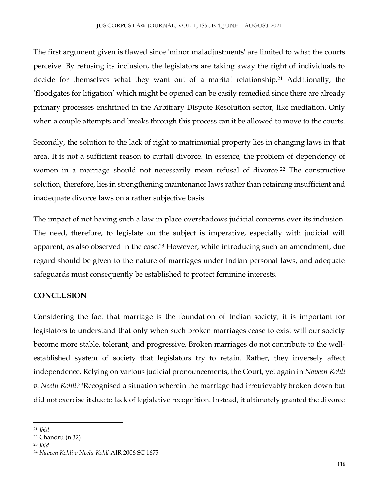The first argument given is flawed since 'minor maladjustments' are limited to what the courts perceive. By refusing its inclusion, the legislators are taking away the right of individuals to decide for themselves what they want out of a marital relationship.<sup>21</sup> Additionally, the 'floodgates for litigation' which might be opened can be easily remedied since there are already primary processes enshrined in the Arbitrary Dispute Resolution sector, like mediation. Only when a couple attempts and breaks through this process can it be allowed to move to the courts.

Secondly, the solution to the lack of right to matrimonial property lies in changing laws in that area. It is not a sufficient reason to curtail divorce. In essence, the problem of dependency of women in a marriage should not necessarily mean refusal of divorce.<sup>22</sup> The constructive solution, therefore, lies in strengthening maintenance laws rather than retaining insufficient and inadequate divorce laws on a rather subjective basis.

The impact of not having such a law in place overshadows judicial concerns over its inclusion. The need, therefore, to legislate on the subject is imperative, especially with judicial will apparent, as also observed in the case.<sup>23</sup> However, while introducing such an amendment, due regard should be given to the nature of marriages under Indian personal laws, and adequate safeguards must consequently be established to protect feminine interests.

## **CONCLUSION**

Considering the fact that marriage is the foundation of Indian society, it is important for legislators to understand that only when such broken marriages cease to exist will our society become more stable, tolerant, and progressive. Broken marriages do not contribute to the wellestablished system of society that legislators try to retain. Rather, they inversely affect independence. Relying on various judicial pronouncements, the Court, yet again in *Naveen Kohli v. Neelu Kohli.<sup>24</sup>*Recognised a situation wherein the marriage had irretrievably broken down but did not exercise it due to lack of legislative recognition. Instead, it ultimately granted the divorce

 $\overline{\phantom{a}}$ <sup>21</sup> *Ibid*

<sup>22</sup> Chandru (n 32)

<sup>23</sup> *Ibid*

<sup>24</sup> *Naveen Kohli v Neelu Kohli* AIR 2006 SC 1675